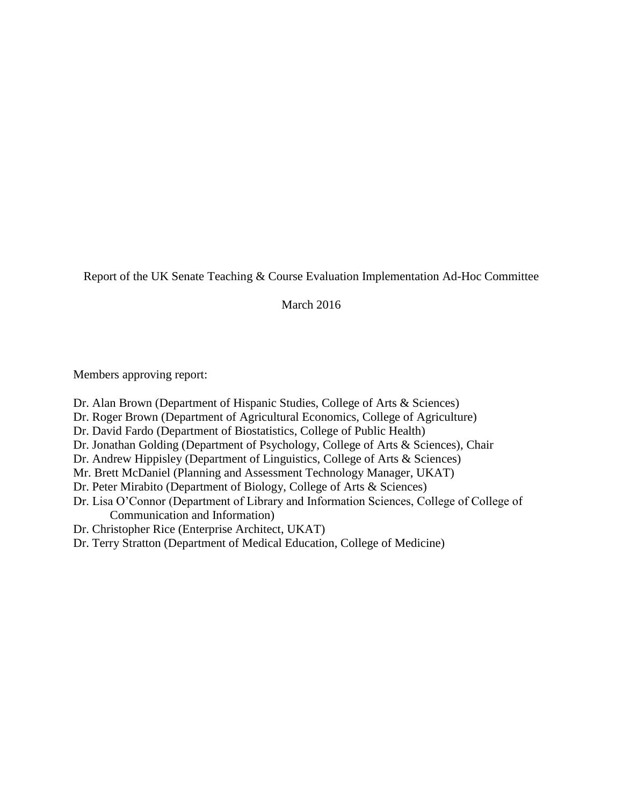Report of the UK Senate Teaching & Course Evaluation Implementation Ad-Hoc Committee

March 2016

Members approving report:

- Dr. Alan Brown (Department of Hispanic Studies, College of Arts & Sciences)
- Dr. Roger Brown (Department of Agricultural Economics, College of Agriculture)
- Dr. David Fardo (Department of Biostatistics, College of Public Health)
- Dr. Jonathan Golding (Department of Psychology, College of Arts & Sciences), Chair
- Dr. Andrew Hippisley (Department of Linguistics, College of Arts & Sciences)
- Mr. Brett McDaniel (Planning and Assessment Technology Manager, UKAT)
- Dr. Peter Mirabito (Department of Biology, College of Arts & Sciences)
- Dr. Lisa O'Connor (Department of Library and Information Sciences, College of College of Communication and Information)
- Dr. Christopher Rice (Enterprise Architect, UKAT)
- Dr. Terry Stratton (Department of Medical Education, College of Medicine)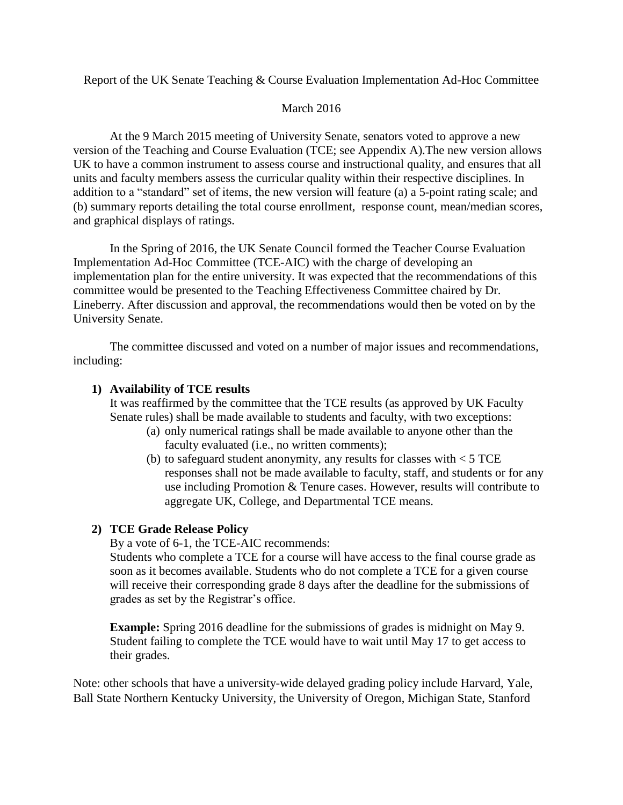Report of the UK Senate Teaching & Course Evaluation Implementation Ad-Hoc Committee

#### March 2016

At the 9 March 2015 meeting of University Senate, senators voted to approve a new version of the Teaching and Course Evaluation (TCE; see Appendix A).The new version allows UK to have a common instrument to assess course and instructional quality, and ensures that all units and faculty members assess the curricular quality within their respective disciplines. In addition to a "standard" set of items, the new version will feature (a) a 5-point rating scale; and (b) summary reports detailing the total course enrollment, response count, mean/median scores, and graphical displays of ratings.

In the Spring of 2016, the UK Senate Council formed the Teacher Course Evaluation Implementation Ad-Hoc Committee (TCE-AIC) with the charge of developing an implementation plan for the entire university. It was expected that the recommendations of this committee would be presented to the Teaching Effectiveness Committee chaired by Dr. Lineberry. After discussion and approval, the recommendations would then be voted on by the University Senate.

The committee discussed and voted on a number of major issues and recommendations, including:

#### **1) Availability of TCE results**

It was reaffirmed by the committee that the TCE results (as approved by UK Faculty Senate rules) shall be made available to students and faculty, with two exceptions:

- (a) only numerical ratings shall be made available to anyone other than the faculty evaluated (i.e., no written comments);
- (b) to safeguard student anonymity, any results for classes with  $<$  5 TCE responses shall not be made available to faculty, staff, and students or for any use including Promotion & Tenure cases. However, results will contribute to aggregate UK, College, and Departmental TCE means.

## **2) TCE Grade Release Policy**

By a vote of 6-1, the TCE-AIC recommends:

Students who complete a TCE for a course will have access to the final course grade as soon as it becomes available. Students who do not complete a TCE for a given course will receive their corresponding grade 8 days after the deadline for the submissions of grades as set by the Registrar's office.

**Example:** Spring 2016 deadline for the submissions of grades is midnight on May 9. Student failing to complete the TCE would have to wait until May 17 to get access to their grades.

Note: other schools that have a university-wide delayed grading policy include Harvard, Yale, Ball State Northern Kentucky University, the University of Oregon, Michigan State, Stanford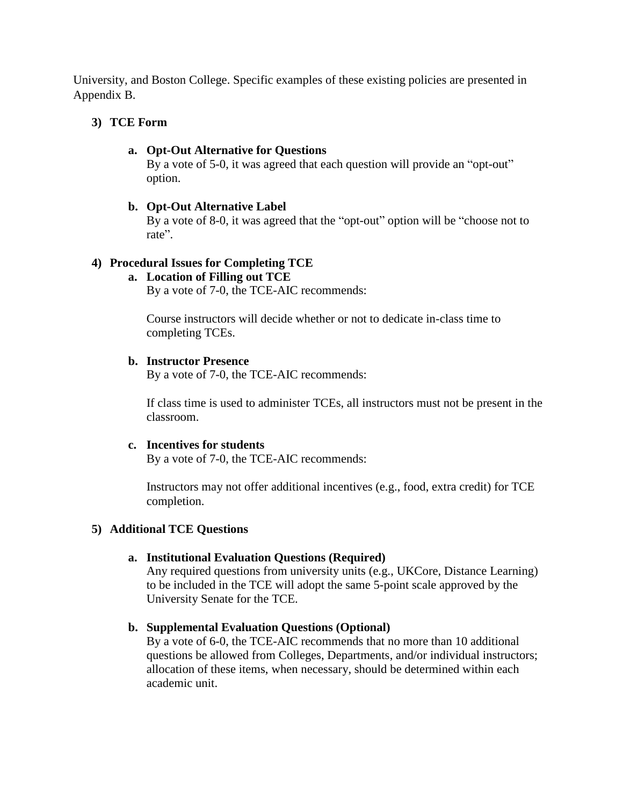University, and Boston College. Specific examples of these existing policies are presented in Appendix B.

#### **3) TCE Form**

#### **a. Opt-Out Alternative for Questions**

By a vote of 5-0, it was agreed that each question will provide an "opt-out" option.

#### **b. Opt-Out Alternative Label**

By a vote of 8-0, it was agreed that the "opt-out" option will be "choose not to rate".

## **4) Procedural Issues for Completing TCE**

#### **a. Location of Filling out TCE**

By a vote of 7-0, the TCE-AIC recommends:

Course instructors will decide whether or not to dedicate in-class time to completing TCEs.

#### **b. Instructor Presence**

By a vote of 7-0, the TCE-AIC recommends:

If class time is used to administer TCEs, all instructors must not be present in the classroom.

## **c. Incentives for students**

By a vote of 7-0, the TCE-AIC recommends:

Instructors may not offer additional incentives (e.g., food, extra credit) for TCE completion.

## **5) Additional TCE Questions**

## **a. Institutional Evaluation Questions (Required)**

Any required questions from university units (e.g., UKCore, Distance Learning) to be included in the TCE will adopt the same 5-point scale approved by the University Senate for the TCE.

## **b. Supplemental Evaluation Questions (Optional)**

By a vote of 6-0, the TCE-AIC recommends that no more than 10 additional questions be allowed from Colleges, Departments, and/or individual instructors; allocation of these items, when necessary, should be determined within each academic unit.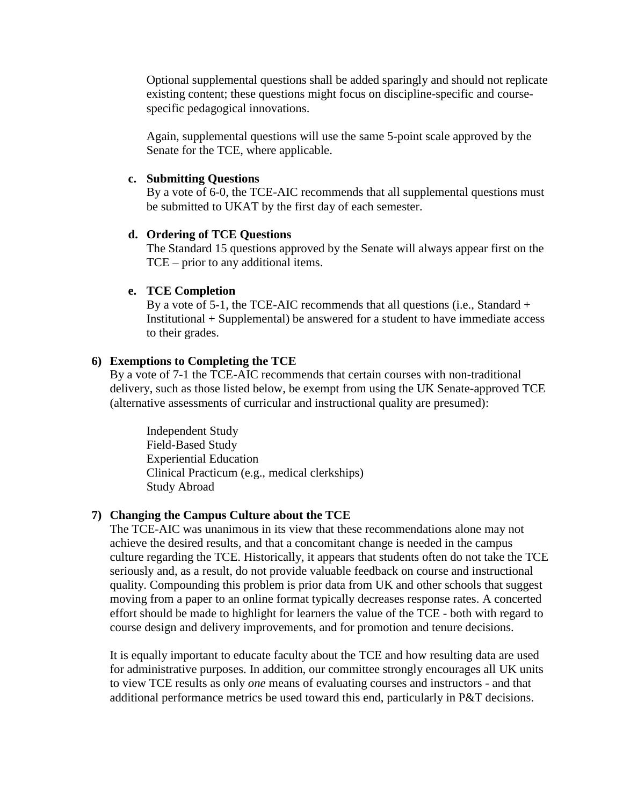Optional supplemental questions shall be added sparingly and should not replicate existing content; these questions might focus on discipline-specific and coursespecific pedagogical innovations.

Again, supplemental questions will use the same 5-point scale approved by the Senate for the TCE, where applicable.

#### **c. Submitting Questions**

By a vote of 6-0, the TCE-AIC recommends that all supplemental questions must be submitted to UKAT by the first day of each semester.

#### **d. Ordering of TCE Questions**

The Standard 15 questions approved by the Senate will always appear first on the TCE – prior to any additional items.

#### **e. TCE Completion**

By a vote of 5-1, the TCE-AIC recommends that all questions (i.e., Standard + Institutional + Supplemental) be answered for a student to have immediate access to their grades.

#### **6) Exemptions to Completing the TCE**

By a vote of 7-1 the TCE-AIC recommends that certain courses with non-traditional delivery, such as those listed below, be exempt from using the UK Senate-approved TCE (alternative assessments of curricular and instructional quality are presumed):

Independent Study Field-Based Study Experiential Education Clinical Practicum (e.g., medical clerkships) Study Abroad

#### **7) Changing the Campus Culture about the TCE**

The TCE-AIC was unanimous in its view that these recommendations alone may not achieve the desired results, and that a concomitant change is needed in the campus culture regarding the TCE. Historically, it appears that students often do not take the TCE seriously and, as a result, do not provide valuable feedback on course and instructional quality. Compounding this problem is prior data from UK and other schools that suggest moving from a paper to an online format typically decreases response rates. A concerted effort should be made to highlight for learners the value of the TCE - both with regard to course design and delivery improvements, and for promotion and tenure decisions.

It is equally important to educate faculty about the TCE and how resulting data are used for administrative purposes. In addition, our committee strongly encourages all UK units to view TCE results as only *one* means of evaluating courses and instructors - and that additional performance metrics be used toward this end, particularly in P&T decisions.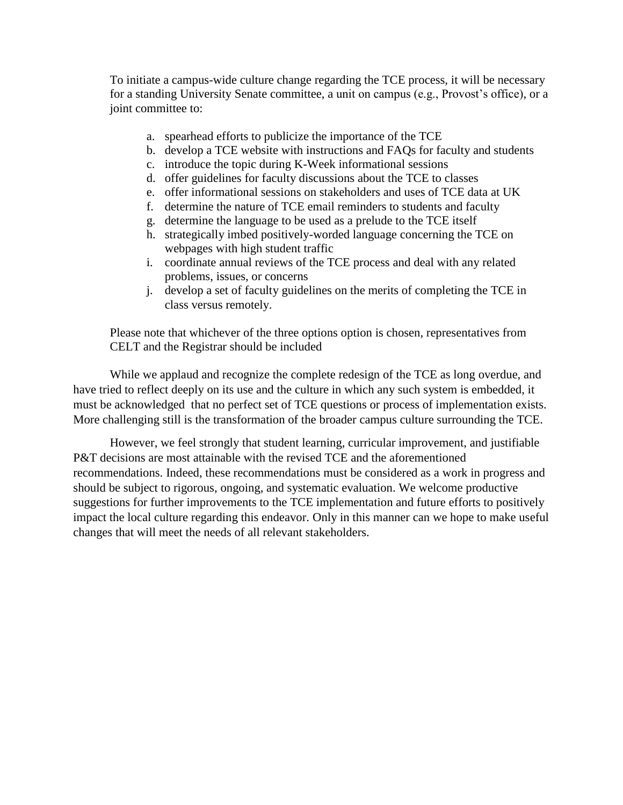To initiate a campus-wide culture change regarding the TCE process, it will be necessary for a standing University Senate committee, a unit on campus (e.g., Provost's office), or a joint committee to:

- a. spearhead efforts to publicize the importance of the TCE
- b. develop a TCE website with instructions and FAQs for faculty and students
- c. introduce the topic during K-Week informational sessions
- d. offer guidelines for faculty discussions about the TCE to classes
- e. offer informational sessions on stakeholders and uses of TCE data at UK
- f. determine the nature of TCE email reminders to students and faculty
- g. determine the language to be used as a prelude to the TCE itself
- h. strategically imbed positively-worded language concerning the TCE on webpages with high student traffic
- i. coordinate annual reviews of the TCE process and deal with any related problems, issues, or concerns
- j. develop a set of faculty guidelines on the merits of completing the TCE in class versus remotely.

Please note that whichever of the three options option is chosen, representatives from CELT and the Registrar should be included

While we applaud and recognize the complete redesign of the TCE as long overdue, and have tried to reflect deeply on its use and the culture in which any such system is embedded, it must be acknowledged that no perfect set of TCE questions or process of implementation exists. More challenging still is the transformation of the broader campus culture surrounding the TCE.

However, we feel strongly that student learning, curricular improvement, and justifiable P&T decisions are most attainable with the revised TCE and the aforementioned recommendations. Indeed, these recommendations must be considered as a work in progress and should be subject to rigorous, ongoing, and systematic evaluation. We welcome productive suggestions for further improvements to the TCE implementation and future efforts to positively impact the local culture regarding this endeavor. Only in this manner can we hope to make useful changes that will meet the needs of all relevant stakeholders.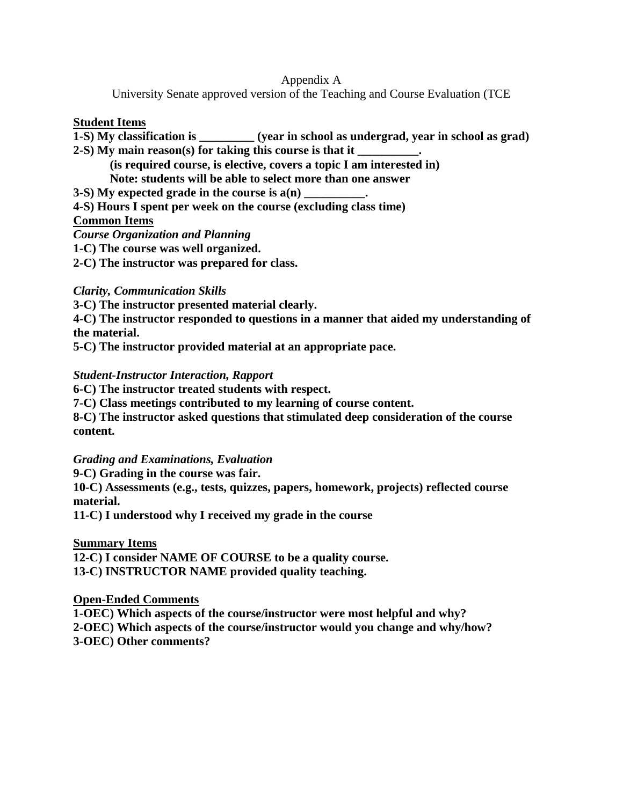#### Appendix A

University Senate approved version of the Teaching and Course Evaluation (TCE

#### **Student Items**

- **1-S) My classification is \_\_\_\_\_\_\_\_\_ (year in school as undergrad, year in school as grad)**
- **2-S) My main reason(s) for taking this course is that it \_\_\_\_\_\_\_\_\_\_.**

**(is required course, is elective, covers a topic I am interested in)**

**Note: students will be able to select more than one answer**

- **3-S)** My expected grade in the course is  $a(n)$
- **4-S) Hours I spent per week on the course (excluding class time)**

## **Common Items**

*Course Organization and Planning*

**1-C) The course was well organized.** 

**2-C) The instructor was prepared for class.**

## *Clarity, Communication Skills*

**3-C) The instructor presented material clearly.**

**4-C) The instructor responded to questions in a manner that aided my understanding of the material.**

**5-C) The instructor provided material at an appropriate pace.**

## *Student-Instructor Interaction, Rapport*

**6-C) The instructor treated students with respect.**

**7-C) Class meetings contributed to my learning of course content.**

**8-C) The instructor asked questions that stimulated deep consideration of the course content.**

## *Grading and Examinations, Evaluation*

**9-C) Grading in the course was fair.**

**10-C) Assessments (e.g., tests, quizzes, papers, homework, projects) reflected course material.**

**11-C) I understood why I received my grade in the course**

## **Summary Items**

**12-C) I consider NAME OF COURSE to be a quality course. 13-C) INSTRUCTOR NAME provided quality teaching.**

## **Open-Ended Comments**

**1-OEC) Which aspects of the course/instructor were most helpful and why? 2-OEC) Which aspects of the course/instructor would you change and why/how? 3-OEC) Other comments?**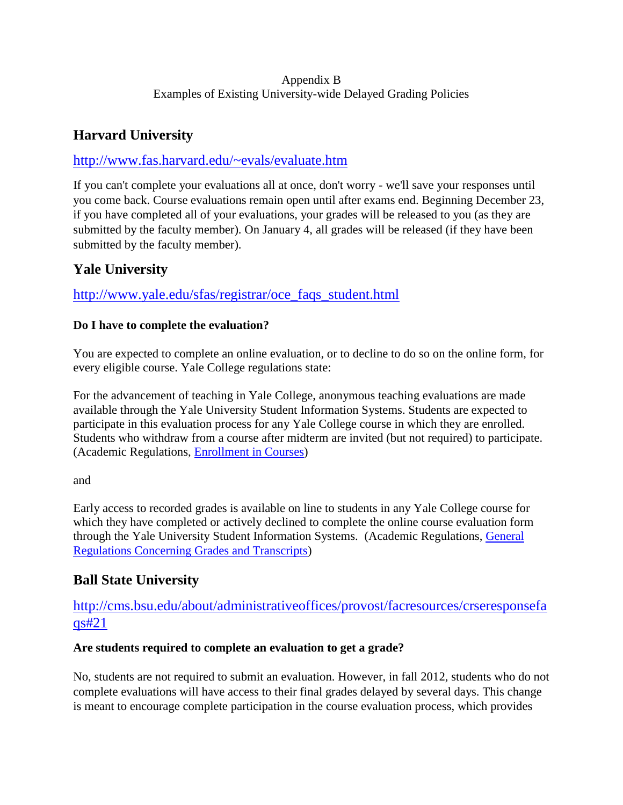## Appendix B Examples of Existing University-wide Delayed Grading Policies

# **Harvard University**

## <http://www.fas.harvard.edu/~evals/evaluate.htm>

If you can't complete your evaluations all at once, don't worry - we'll save your responses until you come back. Course evaluations remain open until after exams end. Beginning December 23, if you have completed all of your evaluations, your grades will be released to you (as they are submitted by the faculty member). On January 4, all grades will be released (if they have been submitted by the faculty member).

## **Yale University**

## [http://www.yale.edu/sfas/registrar/oce\\_faqs\\_student.html](http://www.yale.edu/sfas/registrar/oce_faqs_student.html)

## **Do I have to complete the evaluation?**

You are expected to complete an online evaluation, or to decline to do so on the online form, for every eligible course. Yale College regulations state:

For the advancement of teaching in Yale College, anonymous teaching evaluations are made available through the Yale University Student Information Systems. Students are expected to participate in this evaluation process for any Yale College course in which they are enrolled. Students who withdraw from a course after midterm are invited (but not required) to participate. (Academic Regulations, [Enrollment in Courses\)](http://catalog.yale.edu/ycps/academic-regulations/registration-enrollment-courses/index.html#enrollmentincourses)

and

Early access to recorded grades is available on line to students in any Yale College course for which they have completed or actively declined to complete the online course evaluation form through the Yale University Student Information Systems. (Academic Regulations, [General](http://catalog.yale.edu/ycps/academic-regulations/grades/index.html#spangeneralregulationsconcerninggradesandtranscriptsspanspanspan)  [Regulations Concerning Grades and Transcripts\)](http://catalog.yale.edu/ycps/academic-regulations/grades/index.html#spangeneralregulationsconcerninggradesandtranscriptsspanspanspan)

# **Ball State University**

## [http://cms.bsu.edu/about/administrativeoffices/provost/facresources/crseresponsefa](http://cms.bsu.edu/about/administrativeoffices/provost/facresources/crseresponsefaqs#21) [qs#21](http://cms.bsu.edu/about/administrativeoffices/provost/facresources/crseresponsefaqs#21)

## **Are students required to complete an evaluation to get a grade?**

No, students are not required to submit an evaluation. However, in fall 2012, students who do not complete evaluations will have access to their final grades delayed by several days. This change is meant to encourage complete participation in the course evaluation process, which provides